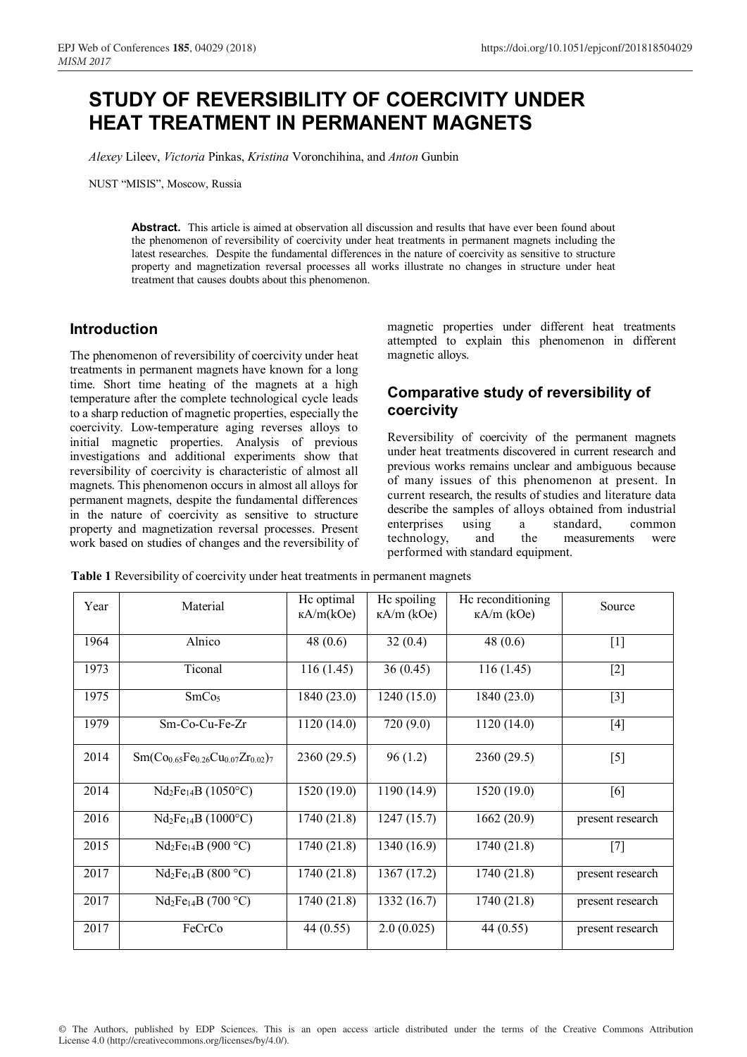## **STUDY OF REVERSIBILITY OF COERCIVITY UNDER HEAT TREATMENT IN PERMANENT MAGNETS**

*Alexey* Lileev, *Victoria* Pinkas, *Kristina* Voronchihina, and *Anton* Gunbin

NUST "MISIS", Moscow, Russia

**Abstract.** This article is aimed at observation all discussion and results that have ever been found about the phenomenon of reversibility of coercivity under heat treatments in permanent magnets including the latest researches. Despite the fundamental differences in the nature of coercivity as sensitive to structure property and magnetization reversal processes all works illustrate no changes in structure under heat treatment that causes doubts about this phenomenon.

## **Introduction**

The phenomenon of reversibility of coercivity under heat treatments in permanent magnets have known for a long time. Short time heating of the magnets at a high temperature after the complete technological cycle leads to a sharp reduction of magnetic properties, especially the coercivity. Low-temperature aging reverses alloys to initial magnetic properties. Analysis of previous investigations and additional experiments show that reversibility of coercivity is characteristic of almost all magnets. This phenomenon occurs in almost all alloys for permanent magnets, despite the fundamental differences in the nature of coercivity as sensitive to structure property and magnetization reversal processes. Present work based on studies of changes and the reversibility of

magnetic properties under different heat treatments attempted to explain this phenomenon in different magnetic alloys.

## **Comparative study of reversibility of coercivity**

Reversibility of coercivity of the permanent magnets under heat treatments discovered in current research and previous works remains unclear and ambiguous because of many issues of this phenomenon at present. In current research, the results of studies and literature data describe the samples of alloys obtained from industrial enterprises using a standard, common technology, and the measurements were performed with standard equipment.

| Year | Material                                   | Hc optimal<br>$\kappa A/m(\text{kOe})$ | Hc spoiling<br>$\kappa A/m$ (kOe) | He reconditioning<br>$\kappa A/m$ (kOe) | Source           |
|------|--------------------------------------------|----------------------------------------|-----------------------------------|-----------------------------------------|------------------|
| 1964 | Alnico                                     | 48 $(0.6)$                             | 32(0.4)                           | 48 $(0.6)$                              | $[1]$            |
| 1973 | Ticonal                                    | 116(1.45)                              | 36(0.45)                          | 116(1.45)                               | $[2]$            |
| 1975 | SmCo <sub>5</sub>                          | 1840 (23.0)                            | 1240 (15.0)                       | 1840 (23.0)                             | $[3]$            |
| 1979 | Sm-Co-Cu-Fe-Zr                             | 1120(14.0)                             | 720(9.0)                          | 1120(14.0)                              | $[4]$            |
| 2014 | $Sm(Co_{0.65}Fe_{0.26}Cu_{0.07}Zr_{0.02})$ | 2360 (29.5)                            | 96(1.2)                           | 2360 (29.5)                             | $[5]$            |
| 2014 | $Nd_2Fe_{14}B(1050°C)$                     | 1520 (19.0)                            | 1190 (14.9)                       | 1520 (19.0)                             | [6]              |
| 2016 | $Nd_2Fe_{14}B(1000°C)$                     | 1740 (21.8)                            | 1247 (15.7)                       | 1662(20.9)                              | present research |
| 2015 | $Nd_2Fe_{14}B$ (900 °C)                    | 1740 (21.8)                            | 1340 (16.9)                       | 1740 (21.8)                             | $[7]$            |
| 2017 | $Nd_2Fe_{14}B (800 °C)$                    | 1740 (21.8)                            | 1367 (17.2)                       | 1740 (21.8)                             | present research |
| 2017 | $Nd_2Fe_{14}B(700 °C)$                     | 1740 (21.8)                            | 1332 (16.7)                       | 1740 (21.8)                             | present research |
| 2017 | FeCrCo                                     | 44 (0.55)                              | 2.0(0.025)                        | 44 (0.55)                               | present research |

**Table 1** Reversibility of coercivity under heat treatments in permanent magnets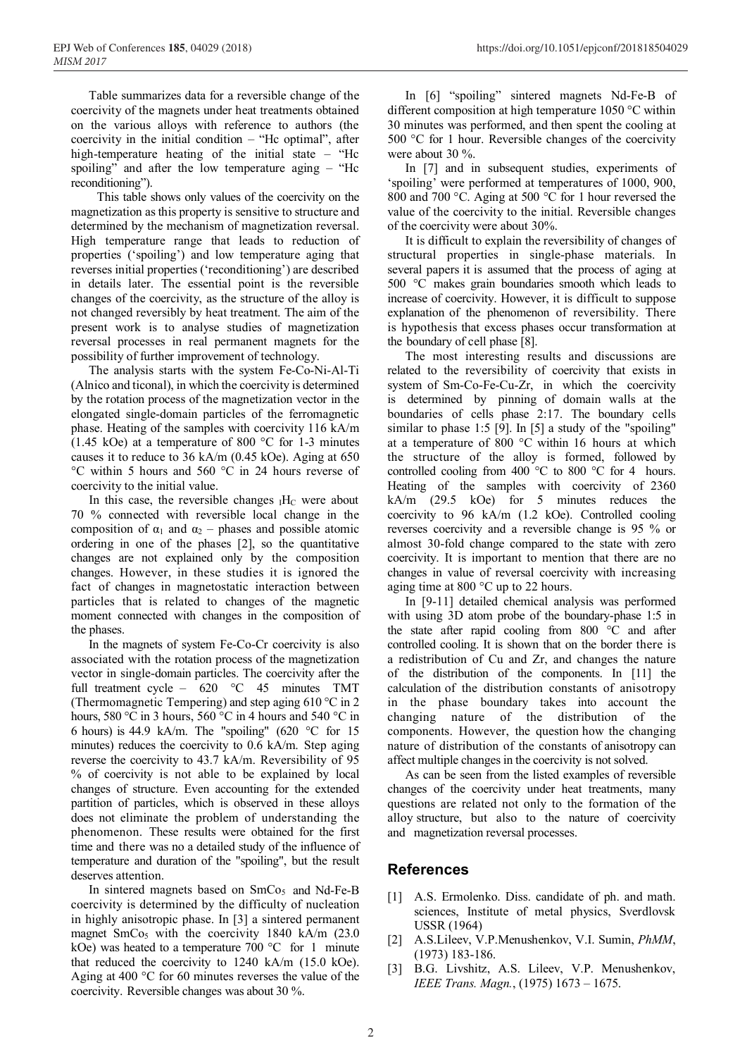Table summarizes data for a reversible change of the coercivity of the magnets under heat treatments obtained on the various alloys with reference to authors (the coercivity in the initial condition – "Hc optimal", after high-temperature heating of the initial state – "Hc spoiling" and after the low temperature aging – "Hc reconditioning").

This table shows only values of the coercivity on the magnetization as this property is sensitive to structure and determined by the mechanism of magnetization reversal. High temperature range that leads to reduction of properties ('spoiling') and low temperature aging that reverses initial properties ('reconditioning') are described in details later. The essential point is the reversible changes of the coercivity, as the structure of the alloy is not changed reversibly by heat treatment. The aim of the present work is to analyse studies of magnetization reversal processes in real permanent magnets for the possibility of further improvement of technology.

The analysis starts with the system Fe-Co-Ni-Al-Ti (Alnico and ticonal), in which the coercivity is determined by the rotation process of the magnetization vector in the elongated single-domain particles of the ferromagnetic phase. Heating of the samples with coercivity 116 kA/m (1.45 kOe) at a temperature of 800 °C for 1-3 minutes causes it to reduce to 36 kA/m (0.45 kOe). Aging at 650 °С within 5 hours and 560 °С in 24 hours reverse of coercivity to the initial value.

In this case, the reversible changes  $I$ H<sub>C</sub> were about 70 % connected with reversible local change in the composition of  $\alpha_1$  and  $\alpha_2$  – phases and possible atomic ordering in one of the phases [2], so the quantitative changes are not explained only by the composition changes. However, in these studies it is ignored the fact of changes in magnetostatic interaction between particles that is related to changes of the magnetic moment connected with changes in the composition of the phases.

In the magnets of system Fe-Co-Cr coercivity is also associated with the rotation process of the magnetization vector in single-domain particles. The coercivity after the full treatment cycle – 620 °С 45 minutes TMT (Thermomagnetic Tempering) and step aging 610 °С in 2 hours, 580 °С in 3 hours, 560 °С in 4 hours and 540 °С in 6 hours) is 44.9 kA/m. The "spoiling" (620 °С for 15 minutes) reduces the coercivity to 0.6 kA/m. Step aging reverse the coercivity to 43.7 kA/m. Reversibility of 95 % of coercivity is not able to be explained by local changes of structure. Even accounting for the extended partition of particles, which is observed in these alloys does not eliminate the problem of understanding the phenomenon. These results were obtained for the first time and there was no a detailed study of the influence of temperature and duration of the "spoiling", but the result deserves attention.

In sintered magnets based on SmCo<sub>5</sub> and Nd-Fe-B coercivity is determined by the difficulty of nucleation in highly anisotropic phase. In [3] a sintered permanent magnet  $SmCo<sub>5</sub>$  with the coercivity 1840 kA/m (23.0) kOe) was heated to a temperature  $700\degree C$  for 1 minute that reduced the coercivity to 1240 kA/m (15.0 kOe). Aging at 400 °C for 60 minutes reverses the value of the coercivity. Reversible changes was about 30 %.

In [6] "spoiling" sintered magnets Nd-Fe-B of different composition at high temperature 1050 °С within 30 minutes was performed, and then spent the cooling at 500 °C for 1 hour. Reversible changes of the coercivity were about 30 %.

In [7] and in subsequent studies, experiments of 'spoiling' were performed at temperatures of 1000, 900, 800 and 700 °С. Aging at 500 °C for 1 hour reversed the value of the coercivity to the initial. Reversible changes of the coercivity were about 30%.

It is difficult to explain the reversibility of changes of structural properties in single-phase materials. In several papers it is assumed that the process of aging at 500 °C makes grain boundaries smooth which leads to increase of coercivity. However, it is difficult to suppose explanation of the phenomenon of reversibility. There is hypothesis that excess phases occur transformation at the boundary of cell phase [8].

The most interesting results and discussions are related to the reversibility of coercivity that exists in system of Sm-Co-Fe-Cu-Zr, in which the coercivity is determined by pinning of domain walls at the boundaries of cells phase 2:17. The boundary cells similar to phase 1:5 [9]. In [5] a study of the "spoiling" at a temperature of 800 °C within 16 hours at which the structure of the alloy is formed, followed by controlled cooling from  $400^{\circ}$ °C to  $800^{\circ}$ °C for 4 hours. Heating of the samples with coercivity of 2360 kA/m (29.5 kOe) for 5 minutes reduces the coercivity to 96 kA/m (1.2 kOe). Controlled cooling reverses coercivity and a reversible change is 95 % or almost 30-fold change compared to the state with zero coercivity. It is important to mention that there are no changes in value of reversal coercivity with increasing aging time at 800 °C up to 22 hours.

In [9-11] detailed chemical analysis was performed with using 3D atom probe of the boundary-phase 1:5 in the state after rapid cooling from 800 °C and after controlled cooling. It is shown that on the border there is a redistribution of Cu and Zr, and changes the nature of the distribution of the components. In [11] the calculation of the distribution constants of anisotropy in the phase boundary takes into account the changing nature of the distribution of the components. However, the question how the changing nature of distribution of the constants of anisotropy can affect multiple changes in the coercivity is not solved.

As can be seen from the listed examples of reversible changes of the coercivity under heat treatments, many questions are related not only to the formation of the alloy structure, but also to the nature of coercivity and magnetization reversal processes.

## **References**

- [1] A.S. Ermolenko. Diss. candidate of ph. and math. sciences, Institute of metal physics, Sverdlovsk USSR (1964)
- [2] A.S.Lileev, V.P.Menushenkov, V.I. Sumin, *PhMM*, (1973) 183-186.
- [3] B.G. Livshitz, A.S. Lileev, V.P. Menushenkov, *IEEE Trans. Magn.*, (1975) 1673 – 1675.